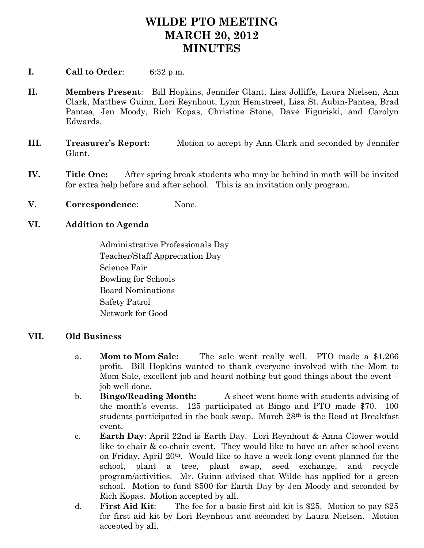## **WILDE PTO MEETING MARCH 20, 2012 MINUTES**

- **I. Call to Order**: 6:32 p.m.
- **II. Members Present**: Bill Hopkins, Jennifer Glant, Lisa Jolliffe, Laura Nielsen, Ann Clark, Matthew Guinn, Lori Reynhout, Lynn Hemstreet, Lisa St. Aubin-Pantea, Brad Pantea, Jen Moody, Rich Kopas, Christine Stone, Dave Figuriski, and Carolyn Edwards.
- **III. Treasurer's Report:** Motion to accept by Ann Clark and seconded by Jennifer Glant.
- **IV. Title One:** After spring break students who may be behind in math will be invited for extra help before and after school. This is an invitation only program.
- **V. Correspondence**: None.

## **VI. Addition to Agenda**

Administrative Professionals Day Teacher/Staff Appreciation Day Science Fair Bowling for Schools Board Nominations Safety Patrol Network for Good

## **VII. Old Business**

- a. **Mom to Mom Sale:** The sale went really well. PTO made a \$1,266 profit. Bill Hopkins wanted to thank everyone involved with the Mom to Mom Sale, excellent job and heard nothing but good things about the event – job well done.
- b. **Bingo/Reading Month:** A sheet went home with students advising of the month's events. 125 participated at Bingo and PTO made \$70. 100 students participated in the book swap. March 28th is the Read at Breakfast event.
- c. **Earth Day**: April 22nd is Earth Day. Lori Reynhout & Anna Clower would like to chair & co-chair event. They would like to have an after school event on Friday, April 20th. Would like to have a week-long event planned for the school, plant a tree, plant swap, seed exchange, and recycle program/activities. Mr. Guinn advised that Wilde has applied for a green school. Motion to fund \$500 for Earth Day by Jen Moody and seconded by Rich Kopas. Motion accepted by all.
- d. **First Aid Kit**: The fee for a basic first aid kit is \$25. Motion to pay \$25 for first aid kit by Lori Reynhout and seconded by Laura Nielsen. Motion accepted by all.